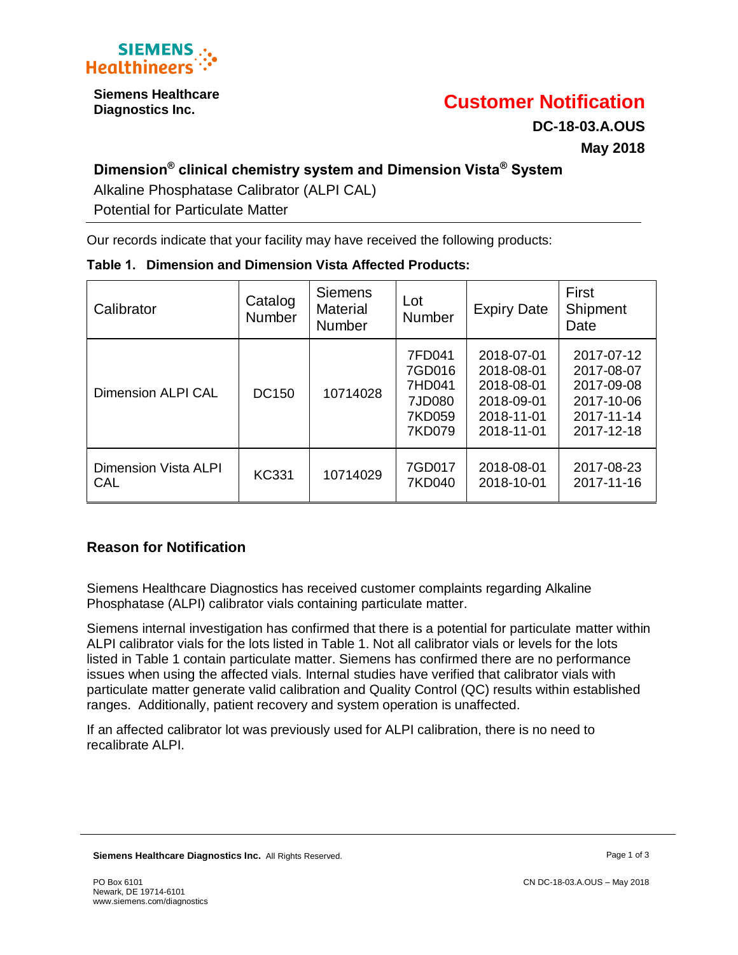

**Siemens Healthcare** 

# **Diagnostics Inc. Customer Notification**

**DC-18-03.A.OUS May 2018**

# **Dimension® clinical chemistry system and Dimension Vista® System**

Alkaline Phosphatase Calibrator (ALPI CAL)

Potential for Particulate Matter

Our records indicate that your facility may have received the following products:

| Table 1. Dimension and Dimension Vista Affected Products: |
|-----------------------------------------------------------|
|-----------------------------------------------------------|

| Calibrator                         | Catalog<br>Number | <b>Siemens</b><br><b>Material</b><br><b>Number</b> | Lot<br><b>Number</b>                                     | <b>Expiry Date</b>                                                               | First<br>Shipment<br>Date                                                        |
|------------------------------------|-------------------|----------------------------------------------------|----------------------------------------------------------|----------------------------------------------------------------------------------|----------------------------------------------------------------------------------|
| <b>Dimension ALPI CAL</b>          | DC150             | 10714028                                           | 7FD041<br>7GD016<br>7HD041<br>7JD080<br>7KD059<br>7KD079 | 2018-07-01<br>2018-08-01<br>2018-08-01<br>2018-09-01<br>2018-11-01<br>2018-11-01 | 2017-07-12<br>2017-08-07<br>2017-09-08<br>2017-10-06<br>2017-11-14<br>2017-12-18 |
| <b>Dimension Vista ALPI</b><br>CAL | <b>KC331</b>      | 10714029                                           | 7GD017<br>7KD040                                         | 2018-08-01<br>2018-10-01                                                         | 2017-08-23<br>2017-11-16                                                         |

## **Reason for Notification**

Siemens Healthcare Diagnostics has received customer complaints regarding Alkaline Phosphatase (ALPI) calibrator vials containing particulate matter.

Siemens internal investigation has confirmed that there is a potential for particulate matter within ALPI calibrator vials for the lots listed in Table 1. Not all calibrator vials or levels for the lots listed in Table 1 contain particulate matter. Siemens has confirmed there are no performance issues when using the affected vials. Internal studies have verified that calibrator vials with particulate matter generate valid calibration and Quality Control (QC) results within established ranges. Additionally, patient recovery and system operation is unaffected.

If an affected calibrator lot was previously used for ALPI calibration, there is no need to recalibrate ALPI.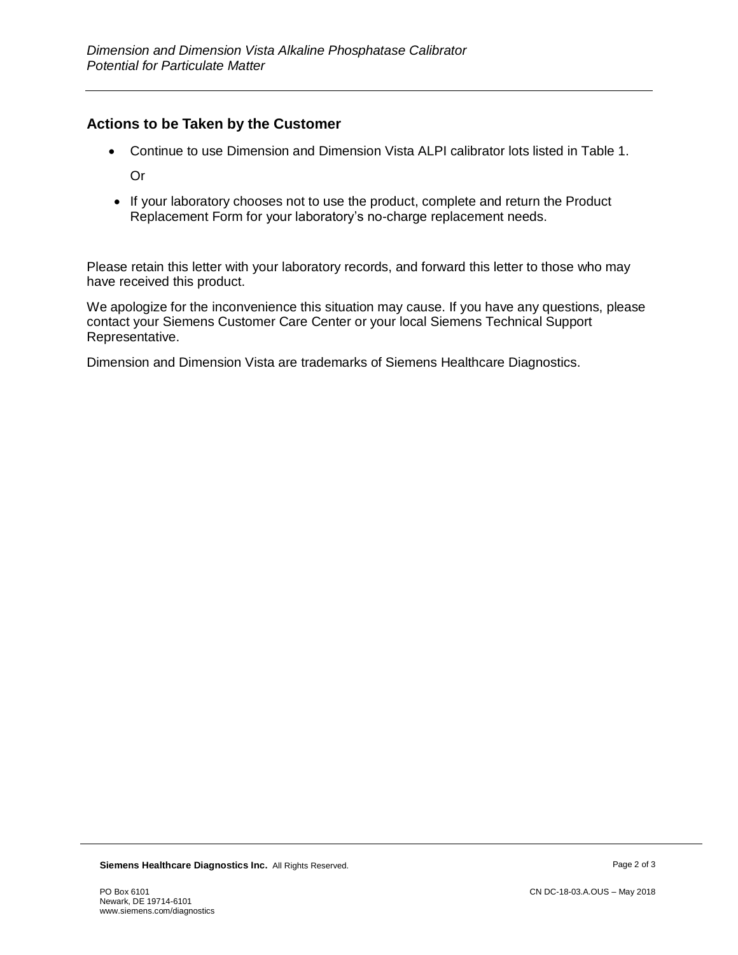### **Actions to be Taken by the Customer**

Continue to use Dimension and Dimension Vista ALPI calibrator lots listed in Table 1.

Or

• If your laboratory chooses not to use the product, complete and return the Product Replacement Form for your laboratory's no-charge replacement needs.

Please retain this letter with your laboratory records, and forward this letter to those who may have received this product.

We apologize for the inconvenience this situation may cause. If you have any questions, please contact your Siemens Customer Care Center or your local Siemens Technical Support Representative.

Dimension and Dimension Vista are trademarks of Siemens Healthcare Diagnostics.